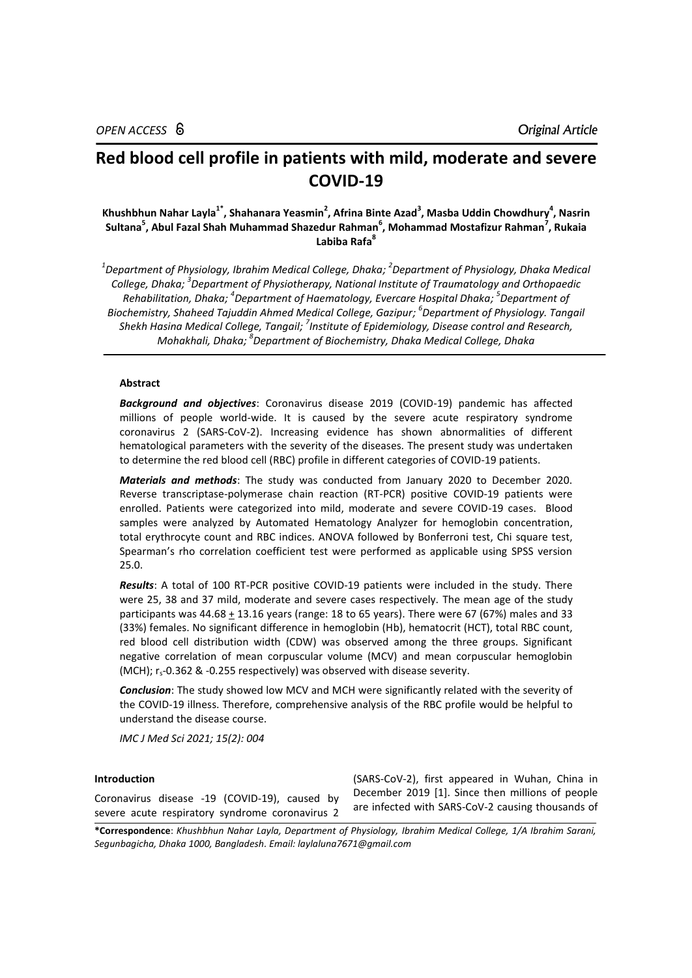# **Red blood cell profile in patients with mild, moderate and severe COVID-19**

**Khushbhun Nahar Layla1\* , Shahanara Yeasmin<sup>2</sup> , Afrina Binte Azad<sup>3</sup> , Masba Uddin Chowdhury<sup>4</sup> , Nasrin Sultana<sup>5</sup> , Abul Fazal Shah Muhammad Shazedur Rahman<sup>6</sup> , Mohammad Mostafizur Rahman<sup>7</sup> , Rukaia Labiba Rafa<sup>8</sup>**

<sup>1</sup>Department of Physiology, Ibrahim Medical College, Dhaka; <sup>2</sup>Department of Physiology, Dhaka Medical *College, Dhaka; 3 Department of Physiotherapy, National Institute of Traumatology and Orthopaedic Rehabilitation, Dhaka; 4 Department of Haematology, Evercare Hospital Dhaka; 5 Department of Biochemistry, Shaheed Tajuddin Ahmed Medical College, Gazipur; 6 Department of Physiology. Tangail Shekh Hasina Medical College, Tangail; 7 Institute of Epidemiology, Disease control and Research, Mohakhali, Dhaka; 8 Department of Biochemistry, Dhaka Medical College, Dhaka*

# **Abstract**

*Background and objectives*: Coronavirus disease 2019 (COVID-19) pandemic has affected millions of people world-wide. It is caused by the severe acute respiratory syndrome coronavirus 2 (SARS-CoV-2). Increasing evidence has shown abnormalities of different hematological parameters with the severity of the diseases. The present study was undertaken to determine the red blood cell (RBC) profile in different categories of COVID-19 patients.

*Materials and methods*: The study was conducted from January 2020 to December 2020. Reverse transcriptase*-*polymerase chain reaction (RT*-*PCR) positive COVID-19 patients were enrolled. Patients were categorized into mild, moderate and severe COVID-19 cases. Blood samples were analyzed by Automated Hematology Analyzer for hemoglobin concentration, total erythrocyte count and RBC indices. ANOVA followed by Bonferroni test, Chi square test, Spearman's rho correlation coefficient test were performed as applicable using SPSS version 25.0.

*Results*: A total of 100 RT-PCR positive COVID-19 patients were included in the study. There were 25, 38 and 37 mild, moderate and severe cases respectively. The mean age of the study participants was  $44.68 \pm 13.16$  years (range: 18 to 65 years). There were 67 (67%) males and 33 (33%) females. No significant difference in hemoglobin (Hb), hematocrit (HCT), total RBC count, red blood cell distribution width (CDW) was observed among the three groups. Significant negative correlation of mean corpuscular volume (MCV) and mean corpuscular hemoglobin (MCH);  $r_s$ -0.362 & -0.255 respectively) was observed with disease severity.

*Conclusion*: The study showed low MCV and MCH were significantly related with the severity of the COVID-19 illness. Therefore, comprehensive analysis of the RBC profile would be helpful to understand the disease course.

*IMC J Med Sci 2021; 15(2): 004*

## **Introduction**

Coronavirus disease -19 (COVID-19), caused by severe acute respiratory syndrome coronavirus 2

(SARS-CoV-2), first appeared in Wuhan, China in December 2019 [1]. Since then millions of people are infected with SARS-CoV-2 causing thousands of

**\*Correspondence**: *Khushbhun Nahar Layla, Department of Physiology, Ibrahim Medical College, 1/A Ibrahim Sarani, Segunbagicha, Dhaka 1000, Bangladesh. Email[: laylaluna7671@gmail.com](mailto:laylaluna7671@gmail.com)*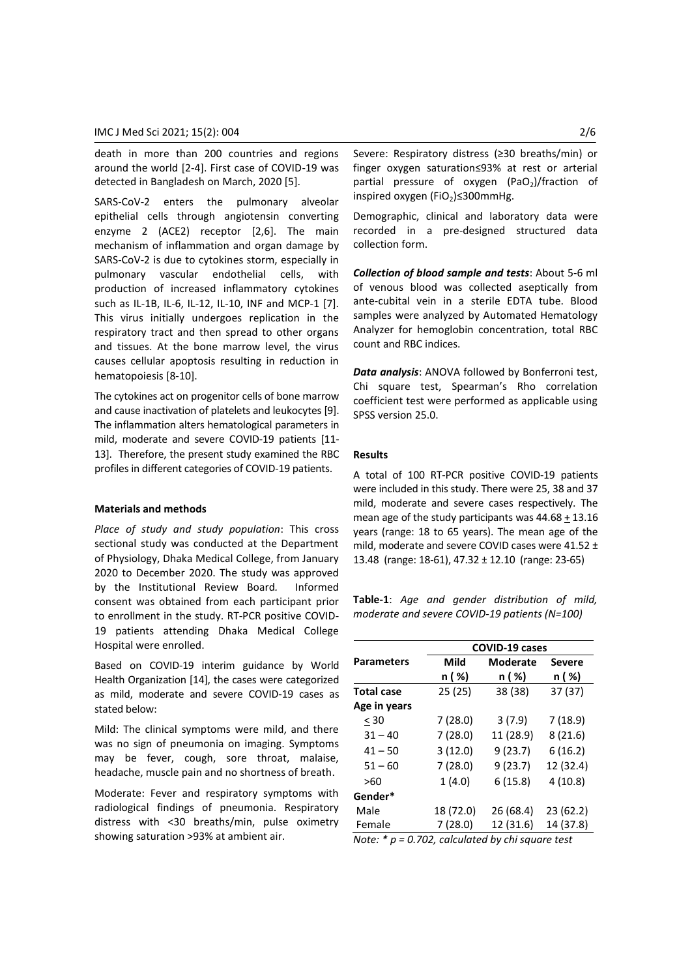death in more than 200 countries and regions around the world [2-4]. First case of COVID-19 was detected in Bangladesh on March, 2020 [5].

SARS-CoV-2 enters the pulmonary alveolar epithelial cells through angiotensin converting enzyme 2 (ACE2) receptor [2,6]. The main mechanism of inflammation and organ damage by SARS-CoV-2 is due to cytokines storm, especially in pulmonary vascular endothelial cells, with production of increased inflammatory cytokines such as IL-1B, IL-6, IL-12, IL-10, INF and MCP-1 [7]. This virus initially undergoes replication in the respiratory tract and then spread to other organs and tissues. At the bone marrow level, the virus causes cellular apoptosis resulting in reduction in hematopoiesis [8-10].

The cytokines act on progenitor cells of bone marrow and cause inactivation of platelets and leukocytes [9]. The inflammation alters hematological parameters in mild, moderate and severe COVID-19 patients [11- 13]. Therefore, the present study examined the RBC profiles in different categories of COVID-19 patients.

## **Materials and methods**

*Place of study and study population*: This cross sectional study was conducted at the Department of Physiology, Dhaka Medical College, from January 2020 to December 2020. The study was approved by the Institutional Review Board*.* Informed consent was obtained from each participant prior to enrollment in the study. RT*-*PCR positive COVID-19 patients attending Dhaka Medical College Hospital were enrolled.

Based on COVID-19 interim guidance by World Health Organization [14], the cases were categorized as mild, moderate and severe COVID-19 cases as stated below:

Mild: The clinical symptoms were mild, and there was no sign of pneumonia on imaging. Symptoms may be fever, cough, sore throat, malaise, headache, muscle pain and no shortness of breath.

Moderate: Fever and respiratory symptoms with radiological findings of pneumonia. Respiratory distress with <30 breaths/min, pulse oximetry showing saturation >93% at ambient air.

Severe: Respiratory distress (≥30 breaths/min) or finger oxygen saturation≤93% at rest or arterial partial pressure of oxygen (PaO<sub>2</sub>)/fraction of inspired oxygen (FiO2)≤300mmHg.

Demographic, clinical and laboratory data were recorded in a pre-designed structured data collection form.

*Collection of blood sample and tests*: About 5-6 ml of venous blood was collected aseptically from ante-cubital vein in a sterile EDTA tube. Blood samples were analyzed by Automated Hematology Analyzer for hemoglobin concentration, total RBC count and RBC indices.

*Data analysis*: ANOVA followed by Bonferroni test, Chi square test, Spearman's Rho correlation coefficient test were performed as applicable using SPSS version 25.0.

#### **Results**

A total of 100 RT-PCR positive COVID-19 patients were included in this study. There were 25, 38 and 37 mild, moderate and severe cases respectively. The mean age of the study participants was 44.68 + 13.16 years (range: 18 to 65 years). The mean age of the mild, moderate and severe COVID cases were 41.52 ± 13.48 (range: 18-61), 47.32 ± 12.10 (range: 23-65)

**Table-1**: *Age and gender distribution of mild, moderate and severe COVID-19 patients (N=100)*

|                   | COVID-19 cases |                 |               |
|-------------------|----------------|-----------------|---------------|
| <b>Parameters</b> | Mild           | <b>Moderate</b> | <b>Severe</b> |
|                   | n ( %)         | n ( %)          | n ( %)        |
| <b>Total case</b> | 25(25)         | 38 (38)         | 37 (37)       |
| Age in years      |                |                 |               |
| $30$              | 7(28.0)        | 3(7.9)          | 7(18.9)       |
| $31 - 40$         | 7(28.0)        | 11 (28.9)       | 8(21.6)       |
| $41 - 50$         | 3(12.0)        | 9(23.7)         | 6(16.2)       |
| $51 - 60$         | 7(28.0)        | 9(23.7)         | 12 (32.4)     |
| >60               | 1(4.0)         | 6(15.8)         | 4(10.8)       |
| Gender*           |                |                 |               |
| Male              | 18 (72.0)      | 26(68.4)        | 23(62.2)      |
| Female            | 7(28.0)        | 12 (31.6)       | 14 (37.8)     |

*Note: \* p = 0.702, calculated by chi square test*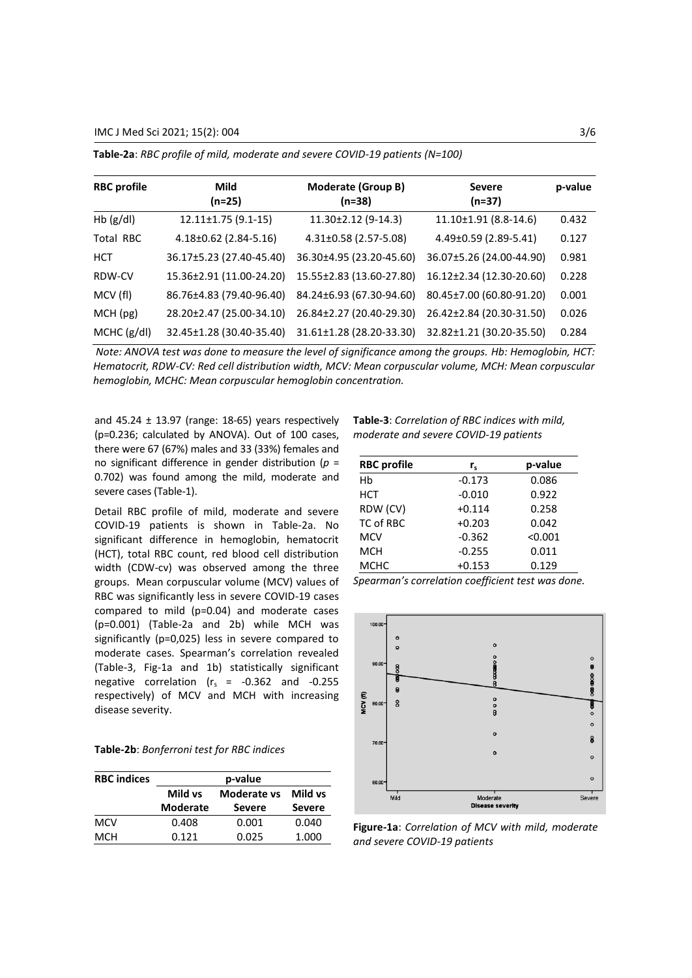IMC J Med Sci 2021; 15(2): 004 3/6

| <b>RBC</b> profile | Mild<br>$(n=25)$          | Moderate (Group B)<br>$(n=38)$ | <b>Severe</b><br>$(n=37)$ | p-value |
|--------------------|---------------------------|--------------------------------|---------------------------|---------|
| Hb $(g/d)$         | $12.11 \pm 1.75$ (9.1-15) | $11.30\pm2.12$ (9-14.3)        | 11.10±1.91 (8.8-14.6)     | 0.432   |
| Total RBC          | $4.18\pm0.62$ (2.84-5.16) | $4.31\pm0.58$ (2.57-5.08)      | $4.49\pm0.59$ (2.89-5.41) | 0.127   |
| HCT                | 36.17±5.23 (27.40-45.40)  | 36.30±4.95 (23.20-45.60)       | 36.07±5.26 (24.00-44.90)  | 0.981   |
| RDW-CV             | 15.36±2.91 (11.00-24.20)  | 15.55±2.83 (13.60-27.80)       | 16.12±2.34 (12.30-20.60)  | 0.228   |
| MCV (fl)           | 86.76±4.83 (79.40-96.40)  | 84.24±6.93 (67.30-94.60)       | 80.45±7.00 (60.80-91.20)  | 0.001   |
| MCH (pg)           | 28.20±2.47 (25.00-34.10)  | 26.84±2.27 (20.40-29.30)       | 26.42±2.84 (20.30-31.50)  | 0.026   |
| MCHC (g/dl)        | 32.45±1.28 (30.40-35.40)  | 31.61±1.28 (28.20-33.30)       | 32.82±1.21 (30.20-35.50)  | 0.284   |

**Table-2a**: *RBC profile of mild, moderate and severe COVID-19 patients (N=100)*

*Note: ANOVA test was done to measure the level of significance among the groups. Hb: Hemoglobin, HCT: Hematocrit, RDW-CV: Red cell distribution width, MCV: Mean corpuscular volume, MCH: Mean corpuscular hemoglobin, MCHC: Mean corpuscular hemoglobin concentration.*

and  $45.24 \pm 13.97$  (range: 18-65) years respectively (p=0.236; calculated by ANOVA). Out of 100 cases, there were 67 (67%) males and 33 (33%) females and no significant difference in gender distribution (*p* = 0.702) was found among the mild, moderate and severe cases (Table-1).

Detail RBC profile of mild, moderate and severe COVID-19 patients is shown in Table-2a. No significant difference in hemoglobin, hematocrit (HCT), total RBC count, red blood cell distribution width (CDW-cv) was observed among the three groups. Mean corpuscular volume (MCV) values of RBC was significantly less in severe COVID-19 cases compared to mild (p=0.04) and moderate cases (p=0.001) (Table-2a and 2b) while MCH was significantly (p=0,025) less in severe compared to moderate cases. Spearman's correlation revealed (Table-3, Fig-1a and 1b) statistically significant negative correlation ( $r_s$  = -0.362 and -0.255 respectively) of MCV and MCH with increasing disease severity.

| Table-2b: Bonferroni test for RBC indices |  |  |  |  |
|-------------------------------------------|--|--|--|--|
|-------------------------------------------|--|--|--|--|

| <b>RBC</b> indices | p-value                |               |               |  |
|--------------------|------------------------|---------------|---------------|--|
|                    | Mild vs<br>Moderate vs |               | Mild vs       |  |
|                    | <b>Moderate</b>        | <b>Severe</b> | <b>Severe</b> |  |
| MCV                | 0.408                  | 0.001         | 0.040         |  |
| MCH                | 0.121                  | 0.025         | 1.000         |  |

**Table-3**: *Correlation of RBC indices with mild, moderate and severe COVID-19 patients*

| <b>RBC</b> profile | $r_{\rm s}$ | p-value |
|--------------------|-------------|---------|
| Hb                 | $-0.173$    | 0.086   |
| <b>HCT</b>         | $-0.010$    | 0.922   |
| RDW (CV)           | $+0.114$    | 0.258   |
| TC of RBC          | $+0.203$    | 0.042   |
| <b>MCV</b>         | $-0.362$    | < 0.001 |
| <b>MCH</b>         | $-0.255$    | 0.011   |
| <b>MCHC</b>        | $+0.153$    | 0.129   |

*Spearman's correlation coefficient test was done.*



**Figure-1a**: *Correlation of MCV with mild, moderate and severe COVID-19 patients*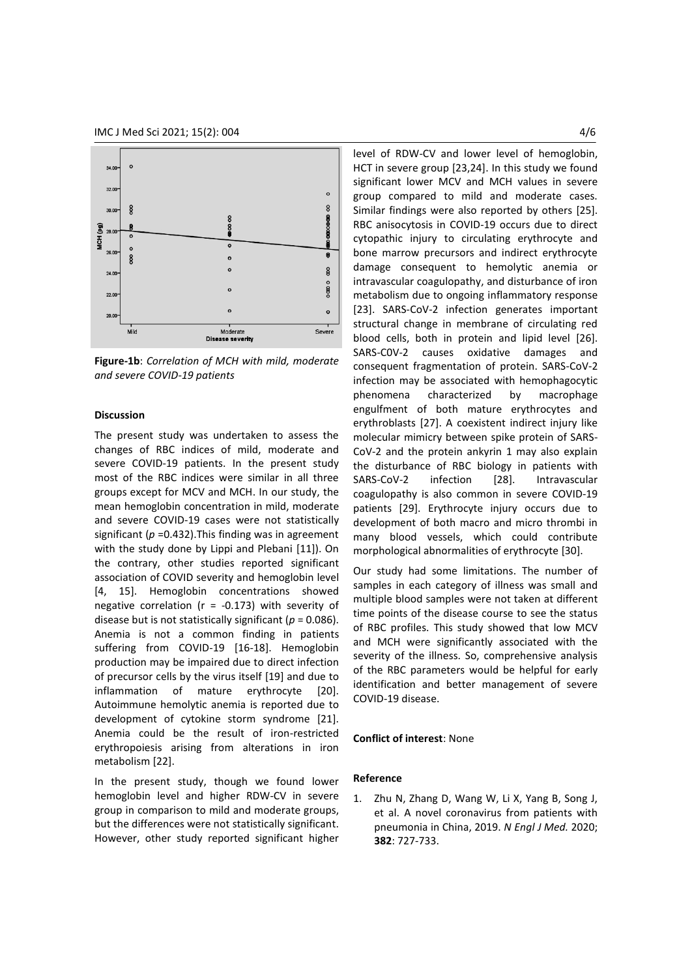

**Figure-1b**: *Correlation of MCH with mild, moderate and severe COVID-19 patients*

# **Discussion**

The present study was undertaken to assess the changes of RBC indices of mild, moderate and severe COVID-19 patients. In the present study most of the RBC indices were similar in all three groups except for MCV and MCH. In our study, the mean hemoglobin concentration in mild, moderate and severe COVID-19 cases were not statistically significant (*p* =0.432).This finding was in agreement with the study done by Lippi and Plebani [11]). On the contrary, other studies reported significant association of COVID severity and hemoglobin level [4, 15]. Hemoglobin concentrations showed negative correlation ( $r = -0.173$ ) with severity of disease but is not statistically significant ( $p = 0.086$ ). Anemia is not a common finding in patients suffering from COVID-19 [16-18]. Hemoglobin production may be impaired due to direct infection of precursor cells by the virus itself [19] and due to inflammation of mature erythrocyte [20]. Autoimmune hemolytic anemia is reported due to development of cytokine storm syndrome [21]. Anemia could be the result of iron-restricted erythropoiesis arising from alterations in iron metabolism [22].

In the present study, though we found lower hemoglobin level and higher RDW-CV in severe group in comparison to mild and moderate groups, but the differences were not statistically significant. However, other study reported significant higher level of RDW-CV and lower level of hemoglobin, HCT in severe group [23,24]. In this study we found significant lower MCV and MCH values in severe group compared to mild and moderate cases. Similar findings were also reported by others [25]. RBC anisocytosis in COVID-19 occurs due to direct cytopathic injury to circulating erythrocyte and bone marrow precursors and indirect erythrocyte damage consequent to hemolytic anemia or intravascular coagulopathy, and disturbance of iron metabolism due to ongoing inflammatory response [23]. SARS-CoV-2 infection generates important structural change in membrane of circulating red blood cells, both in protein and lipid level [26]. SARS-C0V-2 causes oxidative damages and consequent fragmentation of protein. SARS-CoV-2 infection may be associated with hemophagocytic phenomena characterized by macrophage engulfment of both mature erythrocytes and erythroblasts [27]. A coexistent indirect injury like molecular mimicry between spike protein of SARS-CoV-2 and the protein ankyrin 1 may also explain the disturbance of RBC biology in patients with SARS-CoV-2 infection [28]. Intravascular coagulopathy is also common in severe COVID-19 patients [29]. Erythrocyte injury occurs due to development of both macro and micro thrombi in many blood vessels, which could contribute morphological abnormalities of erythrocyte [30].

Our study had some limitations. The number of samples in each category of illness was small and multiple blood samples were not taken at different time points of the disease course to see the status of RBC profiles. This study showed that low MCV and MCH were significantly associated with the severity of the illness. So, comprehensive analysis of the RBC parameters would be helpful for early identification and better management of severe COVID-19 disease.

## **Conflict of interest**: None

## **Reference**

1. Zhu N, Zhang D, Wang W, Li X, Yang B, Song J, et al. A novel coronavirus from patients with pneumonia in China, 2019. *N Engl J Med.* 2020; **382**: 727-733.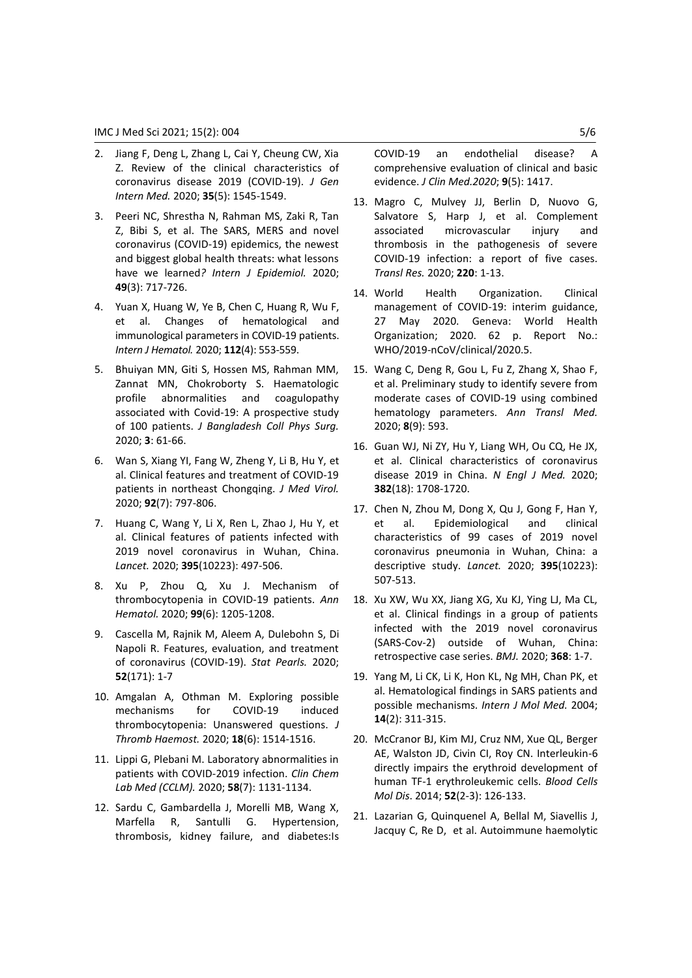- 2. Jiang F, Deng L, Zhang L, Cai Y, Cheung CW, Xia Z. Review of the clinical characteristics of coronavirus disease 2019 (COVID-19). *J Gen Intern Med.* 2020; **35**(5): 1545-1549.
- 3. Peeri NC, Shrestha N, Rahman MS, Zaki R, Tan Z, Bibi S, et al. The SARS, MERS and novel coronavirus (COVID-19) epidemics, the newest and biggest global health threats: what lessons have we learned*? Intern J Epidemiol.* 2020; **49**(3): 717-726.
- 4. Yuan X, Huang W, Ye B, Chen C, Huang R, Wu F, et al. Changes of hematological and immunological parameters in COVID-19 patients. *Intern J Hematol.* 2020; **112**(4): 553-559.
- 5. Bhuiyan MN, Giti S, Hossen MS, Rahman MM, Zannat MN, Chokroborty S. Haematologic profile abnormalities and coagulopathy associated with Covid-19: A prospective study of 100 patients. *J Bangladesh Coll Phys Surg.* 2020; **3**: 61-66.
- 6. Wan S, Xiang YI, Fang W, Zheng Y, Li B, Hu Y, et al. Clinical features and treatment of COVID‐19 patients in northeast Chongqing. *J Med Virol.*  2020; **92**(7): 797-806.
- 7. Huang C, Wang Y, Li X, Ren L, Zhao J, Hu Y, et al. Clinical features of patients infected with 2019 novel coronavirus in Wuhan, China. *Lancet.* 2020; **395**(10223): 497-506.
- 8. Xu P, Zhou Q, Xu J. Mechanism of thrombocytopenia in COVID-19 patients. *Ann Hematol.* 2020; **99**(6): 1205-1208.
- 9. Cascella M, Rajnik M, Aleem A, Dulebohn S, Di Napoli R. Features, evaluation, and treatment of coronavirus (COVID-19). *Stat Pearls.* 2020; **52**(171): 1-7
- 10. Amgalan A, Othman M. Exploring possible mechanisms for COVID‐19 induced thrombocytopenia: Unanswered questions. *J Thromb Haemost.* 2020; **18**(6): 1514-1516.
- 11. Lippi G, Plebani M. Laboratory abnormalities in patients with COVID-2019 infection. *Clin Chem Lab Med (CCLM).* 2020; **58**(7): 1131-1134.
- 12. Sardu C, Gambardella J, Morelli MB, Wang X, Marfella R, Santulli G. Hypertension, thrombosis, kidney failure, and diabetes:Is

COVID-19 an endothelial disease? A comprehensive evaluation of clinical and basic evidence. *J Clin Med.2020*; **9**(5): 1417.

- 13. Magro C, Mulvey JJ, Berlin D, Nuovo G, Salvatore S, Harp J, et al. Complement associated microvascular injury and thrombosis in the pathogenesis of severe COVID-19 infection: a report of five cases. *Transl Res.* 2020; **220**: 1-13.
- 14. World Health Organization. Clinical management of COVID-19: interim guidance, 27 May 2020. Geneva: World Health Organization; 2020. 62 p. Report No.: WHO/2019-nCoV/clinical/2020.5.
- 15. Wang C, Deng R, Gou L, Fu Z, Zhang X, Shao F, et al. Preliminary study to identify severe from moderate cases of COVID-19 using combined hematology parameters. *Ann Transl Med.*  2020; **8**(9): 593.
- 16. Guan WJ, Ni ZY, Hu Y, Liang WH, Ou CQ, He JX, et al. Clinical characteristics of coronavirus disease 2019 in China. *N Engl J Med.* 2020; **382**(18): 1708-1720.
- 17. Chen N, Zhou M, Dong X, Qu J, Gong F, Han Y, et al. Epidemiological and clinical characteristics of 99 cases of 2019 novel coronavirus pneumonia in Wuhan, China: a descriptive study. *Lancet.* 2020; **395**(10223): 507-513.
- 18. Xu XW, Wu XX, Jiang XG, Xu KJ, Ying LJ, Ma CL, et al. Clinical findings in a group of patients infected with the 2019 novel coronavirus (SARS-Cov-2) outside of Wuhan, China: retrospective case series. *BMJ.* 2020; **368**: 1-7.
- 19. Yang M, Li CK, Li K, Hon KL, Ng MH, Chan PK, et al. Hematological findings in SARS patients and possible mechanisms. *Intern J Mol Med.* 2004; **14**(2): 311-315.
- 20. McCranor BJ, Kim MJ, Cruz NM, Xue QL, Berger AE, Walston JD, Civin CI, Roy CN. Interleukin-6 directly impairs the erythroid development of human TF-1 erythroleukemic cells. *Blood Cells Mol Dis*. 2014; **52**(2-3): 126-133.
- 21. Lazarian G, Quinquenel A, Bellal M, Siavellis J, Jacquy C, Re D, et al. Autoimmune haemolytic